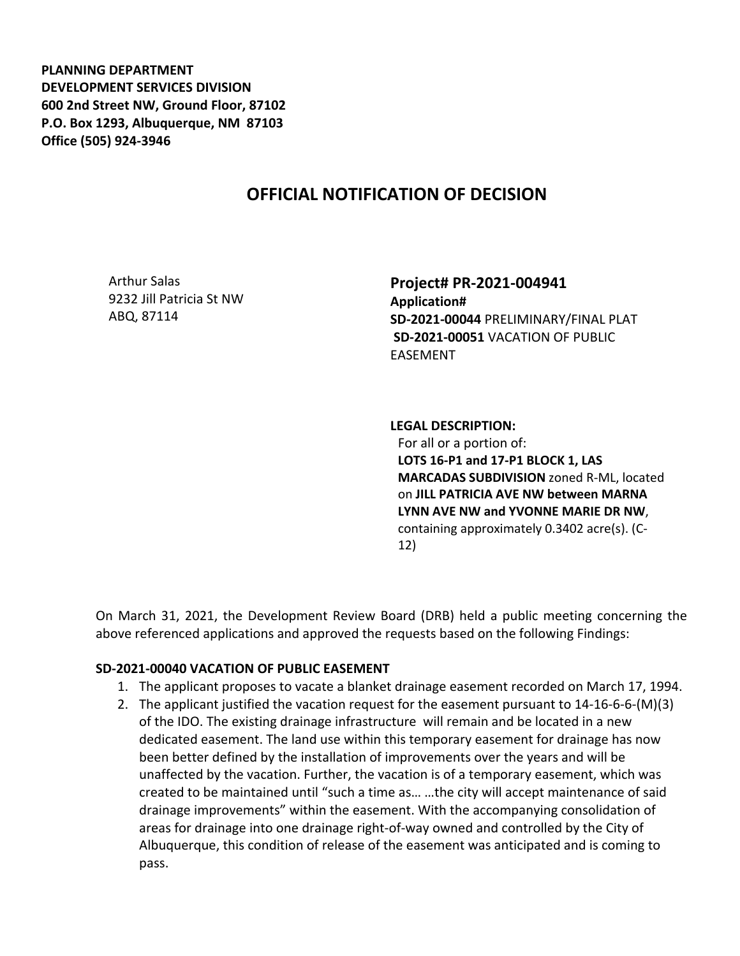**PLANNING DEPARTMENT DEVELOPMENT SERVICES DIVISION 600 2nd Street NW, Ground Floor, 87102 P.O. Box 1293, Albuquerque, NM 87103 Office (505) 924-3946** 

## **OFFICIAL NOTIFICATION OF DECISION**

Arthur Salas 9232 Jill Patricia St NW ABQ, 87114

**Project# PR-2021-004941 Application# SD-2021-00044** PRELIMINARY/FINAL PLAT **SD-2021-00051** VACATION OF PUBLIC EASEMENT

**LEGAL DESCRIPTION:**

For all or a portion of: **LOTS 16-P1 and 17-P1 BLOCK 1, LAS MARCADAS SUBDIVISION** zoned R-ML, located on **JILL PATRICIA AVE NW between MARNA LYNN AVE NW and YVONNE MARIE DR NW**, containing approximately 0.3402 acre(s). (C-12)

On March 31, 2021, the Development Review Board (DRB) held a public meeting concerning the above referenced applications and approved the requests based on the following Findings:

## **SD-2021-00040 VACATION OF PUBLIC EASEMENT**

- 1. The applicant proposes to vacate a blanket drainage easement recorded on March 17, 1994.
- 2. The applicant justified the vacation request for the easement pursuant to 14-16-6-6-(M)(3) of the IDO. The existing drainage infrastructure will remain and be located in a new dedicated easement. The land use within this temporary easement for drainage has now been better defined by the installation of improvements over the years and will be unaffected by the vacation. Further, the vacation is of a temporary easement, which was created to be maintained until "such a time as… …the city will accept maintenance of said drainage improvements" within the easement. With the accompanying consolidation of areas for drainage into one drainage right-of-way owned and controlled by the City of Albuquerque, this condition of release of the easement was anticipated and is coming to pass.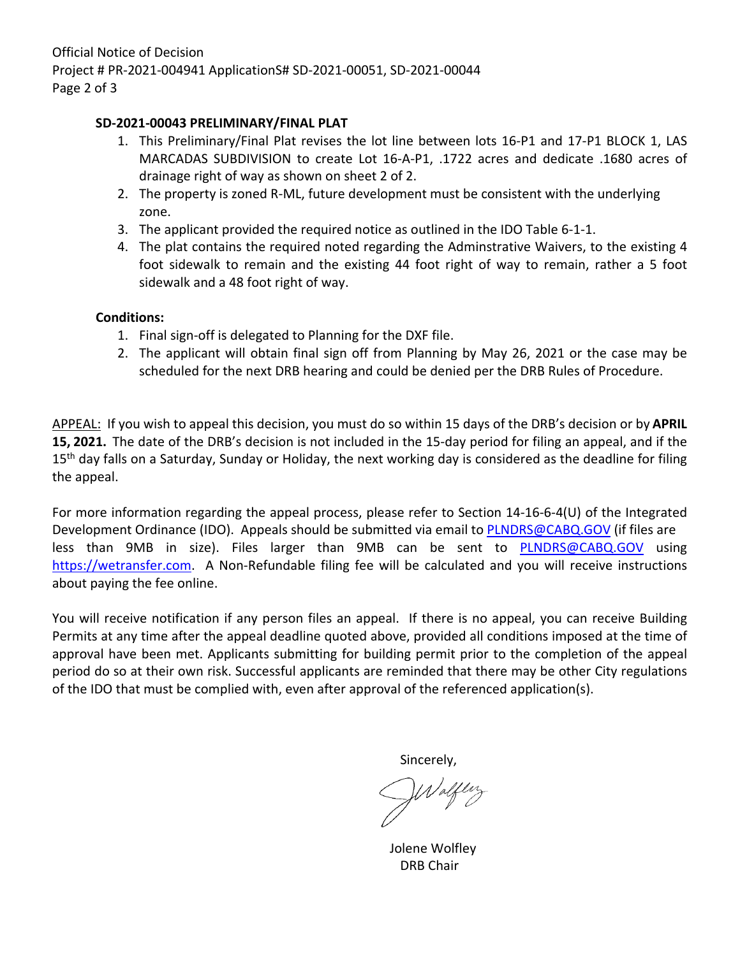## **SD-2021-00043 PRELIMINARY/FINAL PLAT**

- 1. This Preliminary/Final Plat revises the lot line between lots 16-P1 and 17-P1 BLOCK 1, LAS MARCADAS SUBDIVISION to create Lot 16-A-P1, .1722 acres and dedicate .1680 acres of drainage right of way as shown on sheet 2 of 2.
- 2. The property is zoned R-ML, future development must be consistent with the underlying zone.
- 3. The applicant provided the required notice as outlined in the IDO Table 6-1-1.
- 4. The plat contains the required noted regarding the Adminstrative Waivers, to the existing 4 foot sidewalk to remain and the existing 44 foot right of way to remain, rather a 5 foot sidewalk and a 48 foot right of way.

## **Conditions:**

- 1. Final sign-off is delegated to Planning for the DXF file.
- 2. The applicant will obtain final sign off from Planning by May 26, 2021 or the case may be scheduled for the next DRB hearing and could be denied per the DRB Rules of Procedure.

APPEAL: If you wish to appeal this decision, you must do so within 15 days of the DRB's decision or by **APRIL 15, 2021.** The date of the DRB's decision is not included in the 15-day period for filing an appeal, and if the 15<sup>th</sup> day falls on a Saturday, Sunday or Holiday, the next working day is considered as the deadline for filing the appeal.

For more information regarding the appeal process, please refer to Section 14-16-6-4(U) of the Integrated Development Ordinance (IDO). Appeals should be submitted via email to **PLNDRS@CABQ.GOV** (if files are less than 9MB in size). Files larger than 9MB can be sent to **[PLNDRS@CABQ.GOV](mailto:PLNDRS@CABQ.GOV)** using [https://wetransfer.com.](https://wetransfer.com/) A Non-Refundable filing fee will be calculated and you will receive instructions about paying the fee online.

You will receive notification if any person files an appeal. If there is no appeal, you can receive Building Permits at any time after the appeal deadline quoted above, provided all conditions imposed at the time of approval have been met. Applicants submitting for building permit prior to the completion of the appeal period do so at their own risk. Successful applicants are reminded that there may be other City regulations of the IDO that must be complied with, even after approval of the referenced application(s).

Sincerely,

 Jolene Wolfley DRB Chair